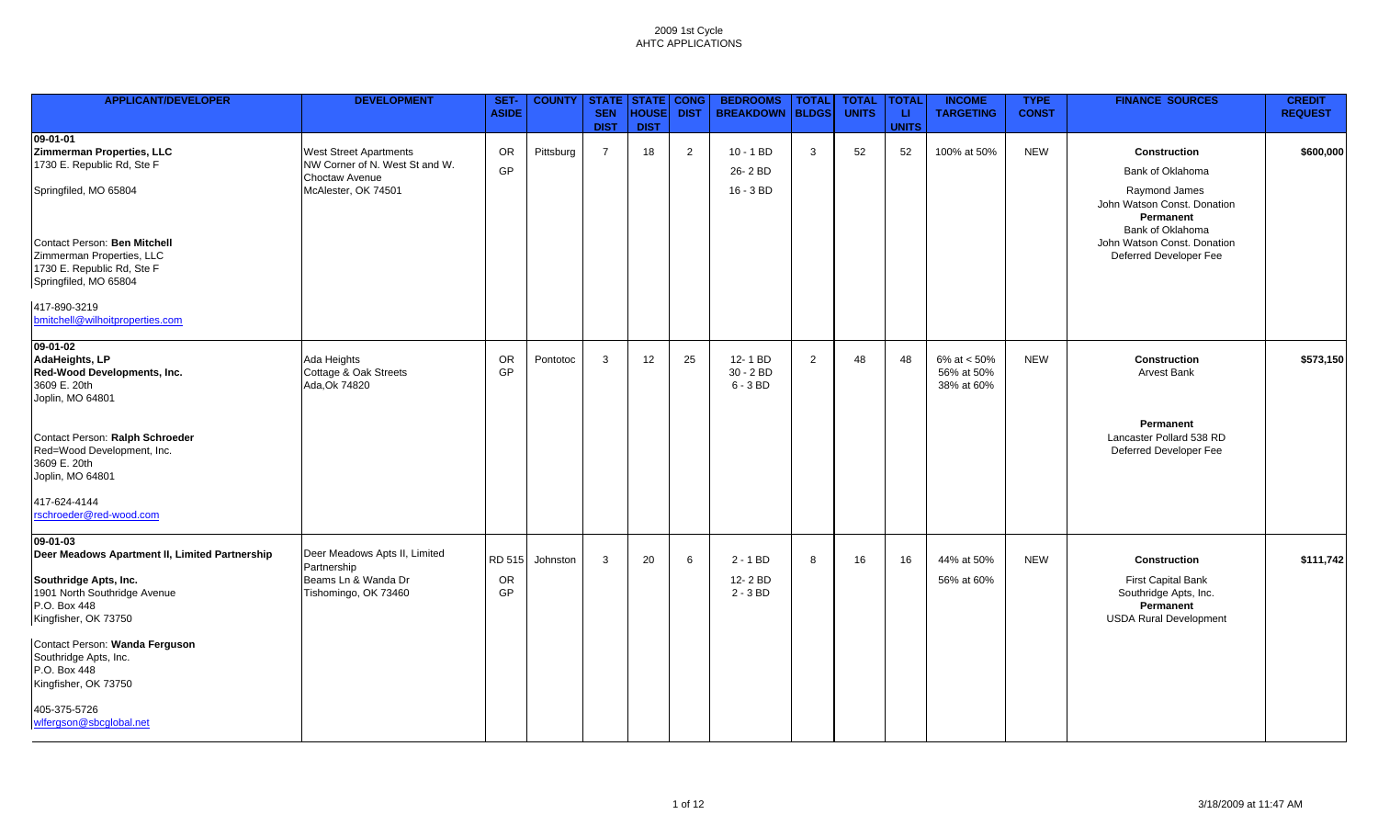| <b>APPLICANT/DEVELOPER</b>                                                                                                                                  | <b>DEVELOPMENT</b>                                                                                       | SET-<br><b>ASIDE</b>      | <b>COUNTY   STATE   STATE   CONG</b> | <b>SEN</b><br><b>DIST</b> | <b>HOUSE</b><br><b>DIST</b> | <b>DIST</b>    | <b>BEDROOMS</b><br><b>BREAKDOWN</b>  | <b>TOTAL</b><br><b>BLDGS</b> | <b>TOTAL</b><br><b>UNITS</b> | <b>TOTAL</b><br>-LI<br><b>UNITS</b> | <b>INCOME</b><br><b>TARGETING</b>         | <b>TYPE</b><br><b>CONST</b> | <b>FINANCE SOURCES</b>                                                                                                  | <b>CREDIT</b><br><b>REQUEST</b> |
|-------------------------------------------------------------------------------------------------------------------------------------------------------------|----------------------------------------------------------------------------------------------------------|---------------------------|--------------------------------------|---------------------------|-----------------------------|----------------|--------------------------------------|------------------------------|------------------------------|-------------------------------------|-------------------------------------------|-----------------------------|-------------------------------------------------------------------------------------------------------------------------|---------------------------------|
| $09 - 01 - 01$<br>Zimmerman Properties, LLC<br>1730 E. Republic Rd, Ste F<br>Springfiled, MO 65804                                                          | <b>West Street Apartments</b><br>NW Corner of N. West St and W.<br>Choctaw Avenue<br>McAlester, OK 74501 | OR<br>GP                  | Pittsburg                            | $\overline{7}$            | 18                          | $\overline{2}$ | $10 - 1 BD$<br>26-2 BD<br>16 - 3 BD  | 3                            | 52                           | 52                                  | 100% at 50%                               | <b>NEW</b>                  | <b>Construction</b><br>Bank of Oklahoma<br>Raymond James<br>John Watson Const. Donation<br>Permanent                    | \$600,000                       |
| Contact Person: Ben Mitchell<br>Zimmerman Properties, LLC<br>1730 E. Republic Rd, Ste F<br>Springfiled, MO 65804<br>417-890-3219                            |                                                                                                          |                           |                                      |                           |                             |                |                                      |                              |                              |                                     |                                           |                             | Bank of Oklahoma<br>John Watson Const. Donation<br>Deferred Developer Fee                                               |                                 |
| bmitchell@wilhoitproperties.com<br>09-01-02<br>AdaHeights, LP<br>Red-Wood Developments, Inc.<br>3609 E. 20th                                                | Ada Heights<br>Cottage & Oak Streets<br>Ada, Ok 74820                                                    | OR<br>GP                  | Pontotoc                             | 3                         | 12                          | 25             | 12-1 BD<br>$30 - 2 BD$<br>$6 - 3 BD$ | $\overline{2}$               | 48                           | 48                                  | 6% at $< 50%$<br>56% at 50%<br>38% at 60% | <b>NEW</b>                  | <b>Construction</b><br><b>Arvest Bank</b>                                                                               | \$573,150                       |
| Joplin, MO 64801<br>Contact Person: Ralph Schroeder<br>Red=Wood Development, Inc.<br>3609 E. 20th<br>Joplin, MO 64801                                       |                                                                                                          |                           |                                      |                           |                             |                |                                      |                              |                              |                                     |                                           |                             | Permanent<br>Lancaster Pollard 538 RD<br>Deferred Developer Fee                                                         |                                 |
| 417-624-4144<br>rschroeder@red-wood.com                                                                                                                     |                                                                                                          |                           |                                      |                           |                             |                |                                      |                              |                              |                                     |                                           |                             |                                                                                                                         |                                 |
| 09-01-03<br>Deer Meadows Apartment II, Limited Partnership<br>Southridge Apts, Inc.<br>1901 North Southridge Avenue<br>P.O. Box 448<br>Kingfisher, OK 73750 | Deer Meadows Apts II, Limited<br>Partnership<br>Beams Ln & Wanda Dr<br>Tishomingo, OK 73460              | <b>RD 515</b><br>OR<br>GP | Johnston                             | $\mathbf{3}$              | 20                          | 6              | $2 - 1 BD$<br>12-2 BD<br>$2 - 3 BD$  | 8                            | 16                           | 16                                  | 44% at 50%<br>56% at 60%                  | <b>NEW</b>                  | <b>Construction</b><br><b>First Capital Bank</b><br>Southridge Apts, Inc.<br>Permanent<br><b>USDA Rural Development</b> | \$111,742                       |
| Contact Person: Wanda Ferguson<br>Southridge Apts, Inc.<br>P.O. Box 448<br>Kingfisher, OK 73750<br>405-375-5726<br>wlfergson@sbcglobal.net                  |                                                                                                          |                           |                                      |                           |                             |                |                                      |                              |                              |                                     |                                           |                             |                                                                                                                         |                                 |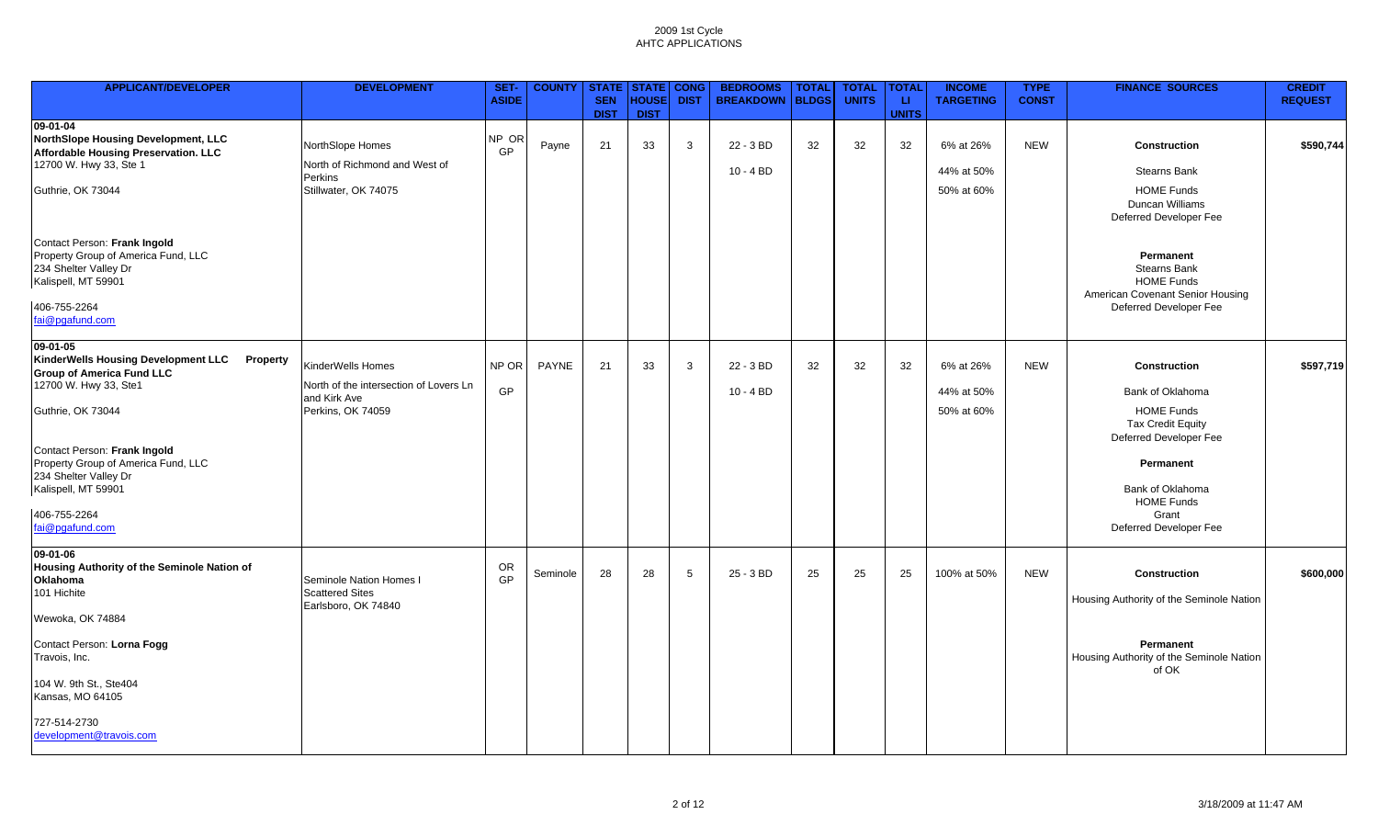| <b>APPLICANT/DEVELOPER</b>                                                                                          | <b>DEVELOPMENT</b>                                     | SET-<br><b>ASIDE</b> | <b>COUNTY</b> | <b>SEN</b>  | <b>STATE   STATE   CONG</b><br><b>HOUSE</b> | <b>DIST</b> | <b>BEDROOMS</b><br><b>BREAKDOWN</b> | <b>TOTAL</b><br><b>BLDGS</b> | <b>TOTAL</b><br><b>UNITS</b> | <b>TOTAL</b><br><b>LI</b> | <b>INCOME</b><br><b>TARGETING</b> | <b>TYPE</b><br><b>CONST</b> | <b>FINANCE SOURCES</b>                                                                    | <b>CREDIT</b><br><b>REQUEST</b> |
|---------------------------------------------------------------------------------------------------------------------|--------------------------------------------------------|----------------------|---------------|-------------|---------------------------------------------|-------------|-------------------------------------|------------------------------|------------------------------|---------------------------|-----------------------------------|-----------------------------|-------------------------------------------------------------------------------------------|---------------------------------|
|                                                                                                                     |                                                        |                      |               | <b>DIST</b> | <b>DIST</b>                                 |             |                                     |                              |                              | <b>UNITS</b>              |                                   |                             |                                                                                           |                                 |
| 09-01-04<br>NorthSlope Housing Development, LLC                                                                     | NorthSlope Homes                                       | NP OR                | Payne         | 21          | 33                                          | 3           | 22 - 3 BD                           | 32                           | 32                           | 32                        | 6% at 26%                         | <b>NEW</b>                  | <b>Construction</b>                                                                       | \$590,744                       |
| Affordable Housing Preservation. LLC                                                                                |                                                        | GP                   |               |             |                                             |             |                                     |                              |                              |                           |                                   |                             |                                                                                           |                                 |
| 12700 W. Hwy 33, Ste 1                                                                                              | North of Richmond and West of                          |                      |               |             |                                             |             | $10 - 4 BD$                         |                              |                              |                           | 44% at 50%                        |                             | <b>Stearns Bank</b>                                                                       |                                 |
| Guthrie, OK 73044                                                                                                   | Perkins<br>Stillwater, OK 74075                        |                      |               |             |                                             |             |                                     |                              |                              |                           | 50% at 60%                        |                             | <b>HOME Funds</b><br>Duncan Williams<br>Deferred Developer Fee                            |                                 |
| Contact Person: Frank Ingold<br>Property Group of America Fund, LLC<br>234 Shelter Valley Dr<br>Kalispell, MT 59901 |                                                        |                      |               |             |                                             |             |                                     |                              |                              |                           |                                   |                             | Permanent<br><b>Stearns Bank</b><br><b>HOME Funds</b><br>American Covenant Senior Housing |                                 |
| 406-755-2264<br>fai@pgafund.com                                                                                     |                                                        |                      |               |             |                                             |             |                                     |                              |                              |                           |                                   |                             | Deferred Developer Fee                                                                    |                                 |
| 09-01-05<br><b>KinderWells Housing Development LLC</b><br>Property<br><b>Group of America Fund LLC</b>              | KinderWells Homes                                      | NP OR                | PAYNE         | 21          | 33                                          | 3           | 22 - 3 BD                           | 32                           | 32                           | 32                        | 6% at 26%                         | <b>NEW</b>                  | Construction                                                                              | \$597,719                       |
| 12700 W. Hwy 33, Ste1                                                                                               | North of the intersection of Lovers Ln<br>and Kirk Ave | GP                   |               |             |                                             |             | $10 - 4 BD$                         |                              |                              |                           | 44% at 50%                        |                             | Bank of Oklahoma                                                                          |                                 |
| Guthrie, OK 73044                                                                                                   | Perkins, OK 74059                                      |                      |               |             |                                             |             |                                     |                              |                              |                           | 50% at 60%                        |                             | <b>HOME Funds</b><br><b>Tax Credit Equity</b><br>Deferred Developer Fee                   |                                 |
| Contact Person: Frank Ingold<br>Property Group of America Fund, LLC                                                 |                                                        |                      |               |             |                                             |             |                                     |                              |                              |                           |                                   |                             | Permanent                                                                                 |                                 |
| 234 Shelter Valley Dr<br>Kalispell, MT 59901                                                                        |                                                        |                      |               |             |                                             |             |                                     |                              |                              |                           |                                   |                             | Bank of Oklahoma                                                                          |                                 |
| 406-755-2264<br>fai@pgafund.com                                                                                     |                                                        |                      |               |             |                                             |             |                                     |                              |                              |                           |                                   |                             | <b>HOME Funds</b><br>Grant<br>Deferred Developer Fee                                      |                                 |
| 09-01-06                                                                                                            |                                                        |                      |               |             |                                             |             |                                     |                              |                              |                           |                                   |                             |                                                                                           |                                 |
| Housing Authority of the Seminole Nation of<br>Oklahoma<br>101 Hichite                                              | Seminole Nation Homes I<br><b>Scattered Sites</b>      | OR<br>GP             | Seminole      | 28          | 28                                          | 5           | $25 - 3 BD$                         | 25                           | 25                           | 25                        | 100% at 50%                       | <b>NEW</b>                  | <b>Construction</b><br>Housing Authority of the Seminole Nation                           | \$600,000                       |
| Wewoka, OK 74884                                                                                                    | Earlsboro, OK 74840                                    |                      |               |             |                                             |             |                                     |                              |                              |                           |                                   |                             |                                                                                           |                                 |
| Contact Person: Lorna Fogg<br>Travois, Inc.                                                                         |                                                        |                      |               |             |                                             |             |                                     |                              |                              |                           |                                   |                             | Permanent<br>Housing Authority of the Seminole Nation<br>of OK                            |                                 |
| 104 W. 9th St., Ste404<br>Kansas, MO 64105                                                                          |                                                        |                      |               |             |                                             |             |                                     |                              |                              |                           |                                   |                             |                                                                                           |                                 |
| 727-514-2730<br>development@travois.com                                                                             |                                                        |                      |               |             |                                             |             |                                     |                              |                              |                           |                                   |                             |                                                                                           |                                 |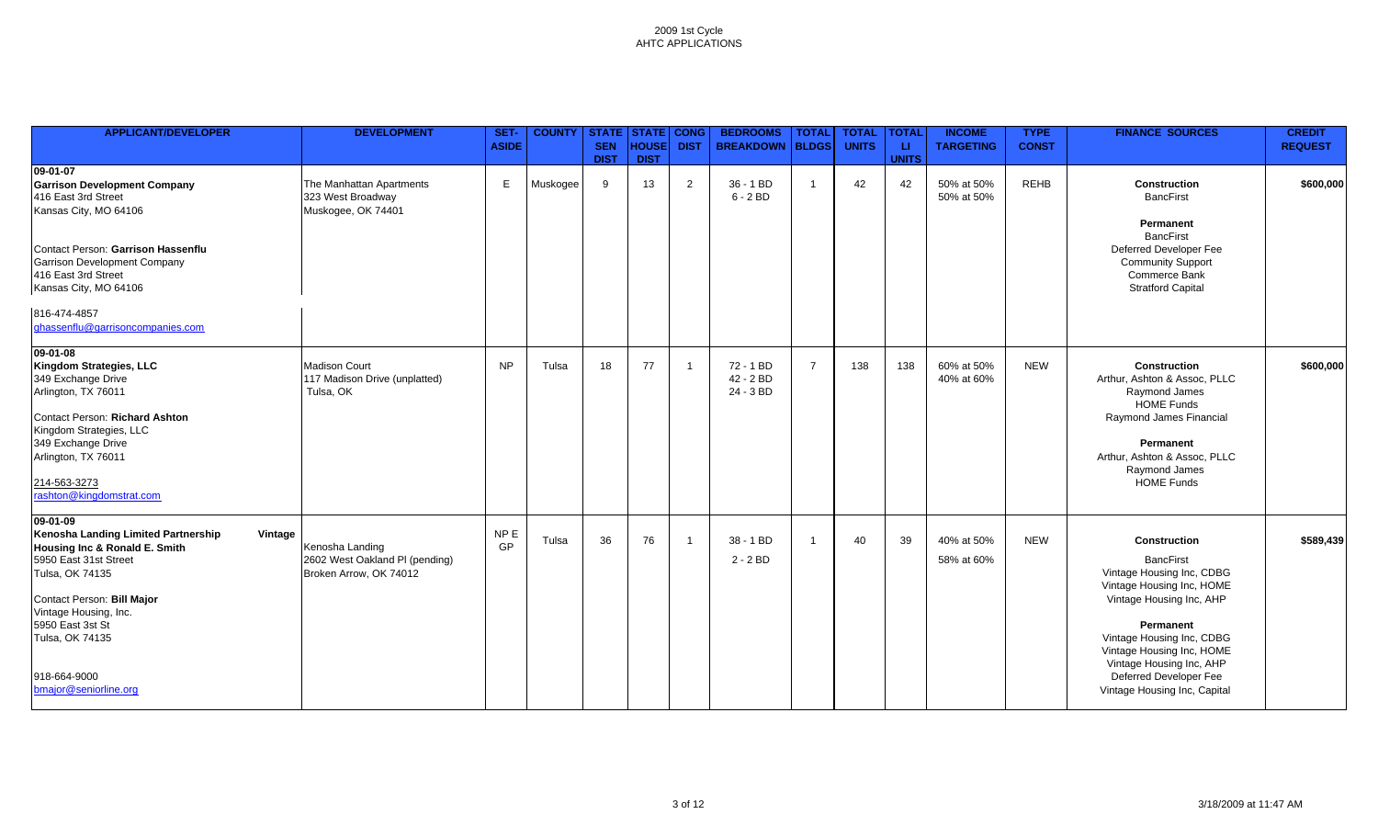| <b>APPLICANT/DEVELOPER</b>                                                                                                                                                                                                                                                     | <b>DEVELOPMENT</b>                                                          | SET-<br><b>ASIDE</b>  | <b>COUNTY</b> | <b>SEN</b><br><b>DIST</b> | <b>STATE STATE CONG</b><br><b>HOUSE</b><br><b>DIST</b> | <b>DIST</b>              | <b>BEDROOMS</b><br><b>BREAKDOWN</b>   | <b>TOTAL</b><br><b>BLDGS</b> | <b>TOTAL</b><br><b>UNITS</b> | <b>TOTAL</b><br>u.<br><b>UNITS</b> | <b>INCOME</b><br><b>TARGETING</b> | <b>TYPE</b><br><b>CONST</b> | <b>FINANCE SOURCES</b>                                                                                                                                                                                                                                                                     | <b>CREDIT</b><br><b>REQUEST</b> |
|--------------------------------------------------------------------------------------------------------------------------------------------------------------------------------------------------------------------------------------------------------------------------------|-----------------------------------------------------------------------------|-----------------------|---------------|---------------------------|--------------------------------------------------------|--------------------------|---------------------------------------|------------------------------|------------------------------|------------------------------------|-----------------------------------|-----------------------------|--------------------------------------------------------------------------------------------------------------------------------------------------------------------------------------------------------------------------------------------------------------------------------------------|---------------------------------|
| 09-01-07<br><b>Garrison Development Company</b><br>416 East 3rd Street<br>Kansas City, MO 64106<br>Contact Person: Garrison Hassenflu<br><b>Garrison Development Company</b>                                                                                                   | The Manhattan Apartments<br>323 West Broadway<br>Muskogee, OK 74401         | E.                    | Muskogee      | 9                         | 13                                                     | 2                        | 36 - 1 BD<br>$6 - 2 BD$               | $\overline{1}$               | 42                           | 42                                 | 50% at 50%<br>50% at 50%          | <b>REHB</b>                 | Construction<br><b>BancFirst</b><br>Permanent<br><b>BancFirst</b><br>Deferred Developer Fee<br><b>Community Support</b>                                                                                                                                                                    | \$600,000                       |
| 416 East 3rd Street<br>Kansas City, MO 64106<br>816-474-4857<br>ghassenflu@garrisoncompanies.com                                                                                                                                                                               |                                                                             |                       |               |                           |                                                        |                          |                                       |                              |                              |                                    |                                   |                             | Commerce Bank<br><b>Stratford Capital</b>                                                                                                                                                                                                                                                  |                                 |
| 09-01-08<br>Kingdom Strategies, LLC<br>349 Exchange Drive<br>Arlington, TX 76011<br>Contact Person: Richard Ashton<br>Kingdom Strategies, LLC<br>349 Exchange Drive<br>Arlington, TX 76011<br>214-563-3273<br>rashton@kingdomstrat.com                                         | <b>Madison Court</b><br>117 Madison Drive (unplatted)<br>Tulsa, OK          | <b>NP</b>             | Tulsa         | 18                        | 77                                                     | $\overline{\phantom{0}}$ | $72 - 1 BD$<br>42 - 2 BD<br>24 - 3 BD | $\overline{7}$               | 138                          | 138                                | 60% at 50%<br>40% at 60%          | <b>NEW</b>                  | <b>Construction</b><br>Arthur, Ashton & Assoc, PLLC<br>Raymond James<br><b>HOME Funds</b><br>Raymond James Financial<br>Permanent<br>Arthur, Ashton & Assoc, PLLC<br>Raymond James<br><b>HOME Funds</b>                                                                                    | \$600,000                       |
| 09-01-09<br>Kenosha Landing Limited Partnership<br>Vintage<br>Housing Inc & Ronald E. Smith<br>5950 East 31st Street<br>Tulsa, OK 74135<br>Contact Person: Bill Major<br>Vintage Housing, Inc.<br>5950 East 3st St<br>Tulsa, OK 74135<br>918-664-9000<br>bmajor@seniorline.org | Kenosha Landing<br>2602 West Oakland PI (pending)<br>Broken Arrow, OK 74012 | NP <sub>E</sub><br>GP | Tulsa         | 36                        | 76                                                     | $\overline{1}$           | 38 - 1 BD<br>$2 - 2 BD$               | $\overline{1}$               | 40                           | 39                                 | 40% at 50%<br>58% at 60%          | <b>NEW</b>                  | <b>Construction</b><br><b>BancFirst</b><br>Vintage Housing Inc, CDBG<br>Vintage Housing Inc, HOME<br>Vintage Housing Inc, AHP<br>Permanent<br>Vintage Housing Inc, CDBG<br>Vintage Housing Inc, HOME<br>Vintage Housing Inc, AHP<br>Deferred Developer Fee<br>Vintage Housing Inc, Capital | \$589,439                       |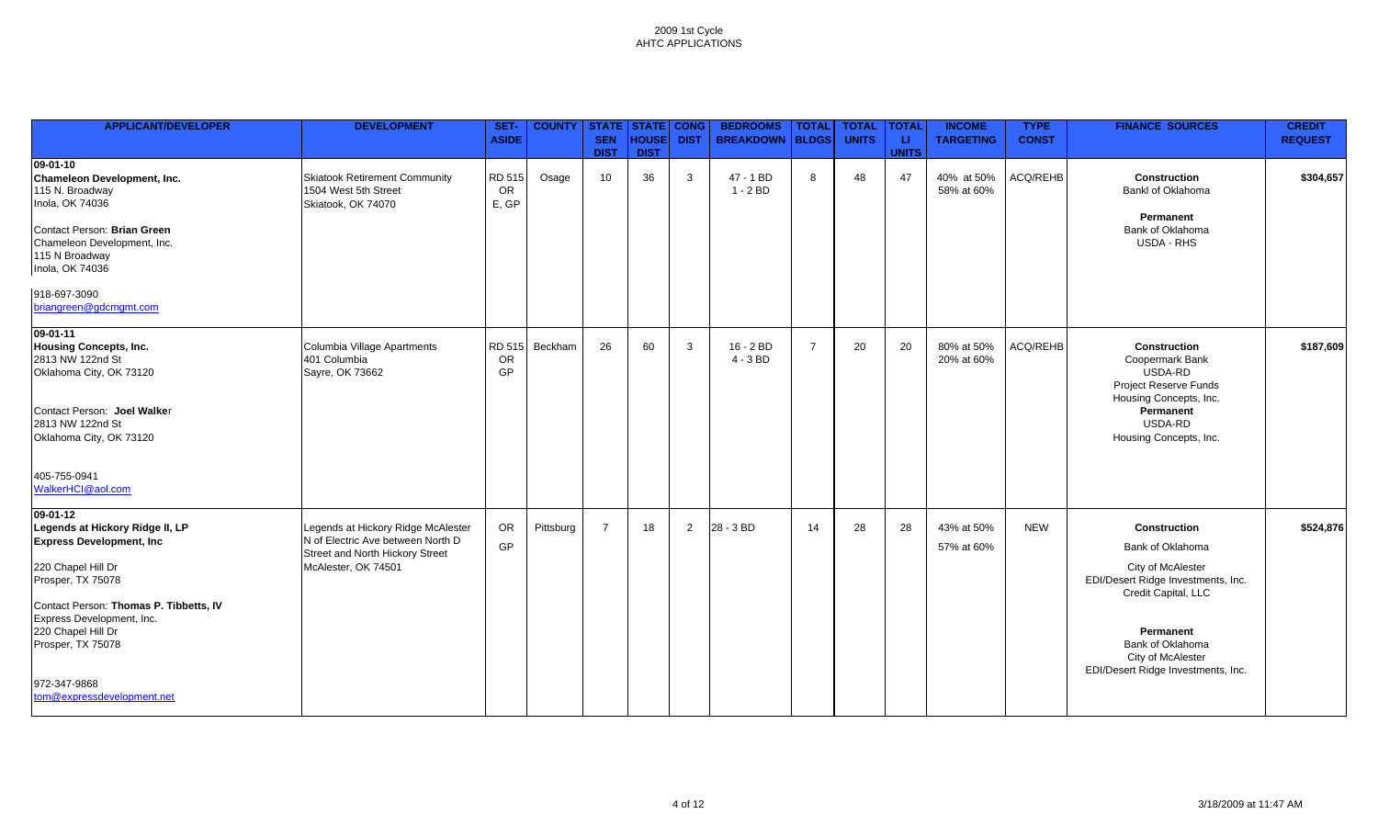| <b>APPLICANT/DEVELOPER</b>                                                                                                                                                                                                                                                                  | <b>DEVELOPMENT</b>                                                                                                                | SET-<br><b>ASIDE</b>      | <b>COUNTY</b> | STATE STATE<br><b>SEN</b><br><b>DIST</b> | HOUSE<br><b>DIST</b> | <b>CONG</b><br><b>DIST</b> | <b>BEDROOMS</b><br><b>BREAKDOWN</b> | <b>TOTAL</b><br><b>BLDGS</b> | <b>TOTAL</b><br><b>UNITS</b> | <b>TOTAL</b><br>LL.<br><b>UNITS</b> | <b>INCOME</b><br><b>TARGETING</b> | <b>TYPE</b><br><b>CONST</b> | <b>FINANCE SOURCES</b>                                                                                                                                                                                                | <b>CREDIT</b><br><b>REQUEST</b> |
|---------------------------------------------------------------------------------------------------------------------------------------------------------------------------------------------------------------------------------------------------------------------------------------------|-----------------------------------------------------------------------------------------------------------------------------------|---------------------------|---------------|------------------------------------------|----------------------|----------------------------|-------------------------------------|------------------------------|------------------------------|-------------------------------------|-----------------------------------|-----------------------------|-----------------------------------------------------------------------------------------------------------------------------------------------------------------------------------------------------------------------|---------------------------------|
| $09 - 01 - 10$<br>Chameleon Development, Inc.<br>115 N. Broadway<br>Inola, OK 74036<br>Contact Person: Brian Green<br>Chameleon Development, Inc.<br>115 N Broadway<br>Inola, OK 74036<br>918-697-3090                                                                                      | Skiatook Retirement Community<br>1504 West 5th Street<br>Skiatook, OK 74070                                                       | RD 515<br>OR<br>E, GP     | Osage         | 10                                       | 36                   | $\mathbf{3}$               | 47 - 1 BD<br>$1 - 2 BD$             | 8                            | 48                           | 47                                  | 40% at 50%<br>58% at 60%          | ACQ/REHB                    | <b>Construction</b><br>Bankl of Oklahoma<br>Permanent<br>Bank of Oklahoma<br>USDA - RHS                                                                                                                               | \$304,657                       |
| briangreen@gdcmgmt.com                                                                                                                                                                                                                                                                      |                                                                                                                                   |                           |               |                                          |                      |                            |                                     |                              |                              |                                     |                                   |                             |                                                                                                                                                                                                                       |                                 |
| 09-01-11<br><b>Housing Concepts, Inc.</b><br>2813 NW 122nd St<br>Oklahoma City, OK 73120<br>Contact Person: Joel Walker<br>2813 NW 122nd St<br>Oklahoma City, OK 73120<br>405-755-0941<br>WalkerHCI@aol.com                                                                                 | Columbia Village Apartments<br>401 Columbia<br>Sayre, OK 73662                                                                    | RD 515<br>OR<br><b>GP</b> | Beckham       | 26                                       | 60                   | $\mathbf{3}$               | 16 - 2 BD<br>$4 - 3 BD$             | $\overline{7}$               | 20                           | 20                                  | 80% at 50%<br>20% at 60%          | ACQ/REHB                    | <b>Construction</b><br>Coopermark Bank<br>USDA-RD<br>Project Reserve Funds<br>Housing Concepts, Inc.<br>Permanent<br>USDA-RD<br>Housing Concepts, Inc.                                                                | \$187,609                       |
| $09-01-12$<br>Legends at Hickory Ridge II, LP<br><b>Express Development, Inc</b><br>220 Chapel Hill Dr<br>Prosper, TX 75078<br>Contact Person: Thomas P. Tibbetts, IV<br>Express Development, Inc.<br>220 Chapel Hill Dr<br>Prosper, TX 75078<br>972-347-9868<br>tom@expressdevelopment.net | Legends at Hickory Ridge McAlester<br>N of Electric Ave between North D<br>Street and North Hickory Street<br>McAlester, OK 74501 | OR<br>GP                  | Pittsburg     | $\overline{7}$                           | 18                   | 2                          | 28 - 3 BD                           | 14                           | 28                           | 28                                  | 43% at 50%<br>57% at 60%          | <b>NEW</b>                  | <b>Construction</b><br>Bank of Oklahoma<br>City of McAlester<br>EDI/Desert Ridge Investments, Inc.<br>Credit Capital, LLC<br>Permanent<br>Bank of Oklahoma<br>City of McAlester<br>EDI/Desert Ridge Investments, Inc. | \$524,876                       |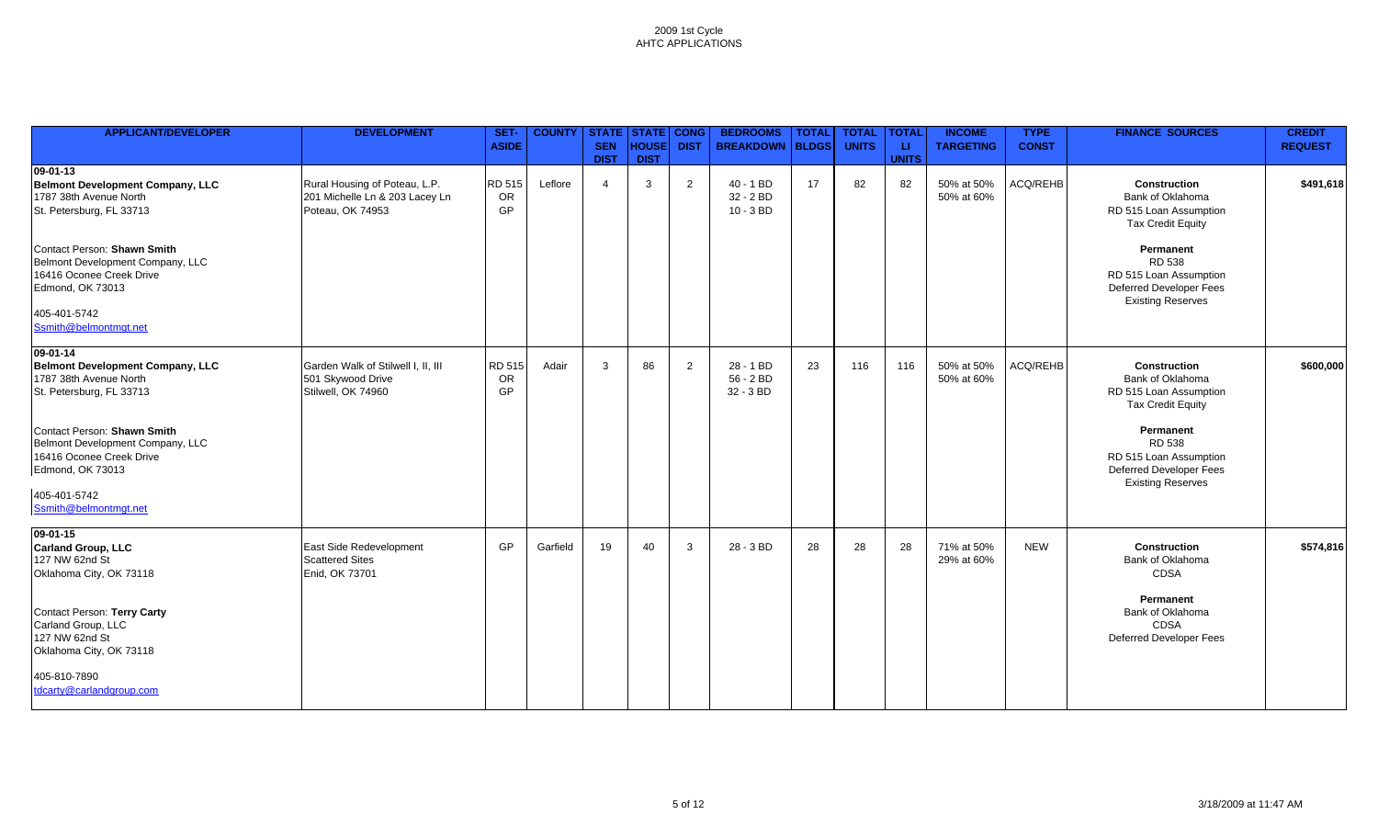| <b>APPLICANT/DEVELOPER</b>                                                                                                                                                                                                                                                  | <b>DEVELOPMENT</b>                                                                  | SET-<br><b>ASIDE</b>      | <b>COUNTY</b> | <b>STATE STATE CONG</b><br><b>SEN</b><br><b>DIST</b> | <b>HOUSE</b><br><b>DIST</b> | <b>DIST</b> | <b>BEDROOMS</b><br><b>BREAKDOWN</b>     | <b>TOTAL</b><br><b>BLDGS</b> | <b>TOTAL</b><br><b>UNITS</b> | <b>TOTAL</b><br>u.<br><b>UNITS</b> | <b>INCOME</b><br><b>TARGETING</b> | <b>TYPE</b><br><b>CONST</b> | <b>FINANCE SOURCES</b>                                                                                                                                                                                       | <b>CREDIT</b><br><b>REQUEST</b> |
|-----------------------------------------------------------------------------------------------------------------------------------------------------------------------------------------------------------------------------------------------------------------------------|-------------------------------------------------------------------------------------|---------------------------|---------------|------------------------------------------------------|-----------------------------|-------------|-----------------------------------------|------------------------------|------------------------------|------------------------------------|-----------------------------------|-----------------------------|--------------------------------------------------------------------------------------------------------------------------------------------------------------------------------------------------------------|---------------------------------|
| $09 - 01 - 13$                                                                                                                                                                                                                                                              |                                                                                     |                           |               |                                                      |                             |             |                                         |                              |                              |                                    |                                   |                             |                                                                                                                                                                                                              |                                 |
| <b>Belmont Development Company, LLC</b><br>1787 38th Avenue North<br>St. Petersburg, FL 33713                                                                                                                                                                               | Rural Housing of Poteau, L.P.<br>201 Michelle Ln & 203 Lacey Ln<br>Poteau, OK 74953 | <b>RD 515</b><br>OR<br>GP | Leflore       | $\overline{4}$                                       | 3                           | 2           | $40 - 1 BD$<br>32 - 2 BD<br>$10 - 3 BD$ | 17                           | 82                           | 82                                 | 50% at 50%<br>50% at 60%          | ACQ/REHB                    | Construction<br>Bank of Oklahoma<br>RD 515 Loan Assumption<br><b>Tax Credit Equity</b>                                                                                                                       | \$491,618                       |
| Contact Person: Shawn Smith<br>Belmont Development Company, LLC<br>16416 Oconee Creek Drive<br>Edmond, OK 73013                                                                                                                                                             |                                                                                     |                           |               |                                                      |                             |             |                                         |                              |                              |                                    |                                   |                             | Permanent<br>RD 538<br>RD 515 Loan Assumption<br>Deferred Developer Fees<br><b>Existing Reserves</b>                                                                                                         |                                 |
| 405-401-5742<br>Ssmith@belmontmgt.net                                                                                                                                                                                                                                       |                                                                                     |                           |               |                                                      |                             |             |                                         |                              |                              |                                    |                                   |                             |                                                                                                                                                                                                              |                                 |
| $09 - 01 - 14$<br><b>Belmont Development Company, LLC</b><br>1787 38th Avenue North<br>St. Petersburg, FL 33713<br>Contact Person: Shawn Smith<br>Belmont Development Company, LLC<br>16416 Oconee Creek Drive<br>Edmond, OK 73013<br>405-401-5742<br>Ssmith@belmontmgt.net | Garden Walk of Stilwell I, II, III<br>501 Skywood Drive<br>Stilwell, OK 74960       | <b>RD 515</b><br>OR<br>GP | Adair         | 3                                                    | 86                          | 2           | 28 - 1 BD<br>56 - 2 BD<br>32 - 3 BD     | 23                           | 116                          | 116                                | 50% at 50%<br>50% at 60%          | <b>ACQ/REHB</b>             | <b>Construction</b><br>Bank of Oklahoma<br>RD 515 Loan Assumption<br><b>Tax Credit Equity</b><br>Permanent<br><b>RD 538</b><br>RD 515 Loan Assumption<br>Deferred Developer Fees<br><b>Existing Reserves</b> | \$600,000                       |
| $09 - 01 - 15$<br><b>Carland Group, LLC</b><br>127 NW 62nd St<br>Oklahoma City, OK 73118<br>Contact Person: Terry Carty<br>Carland Group, LLC<br>127 NW 62nd St<br>Oklahoma City, OK 73118<br>405-810-7890<br>tdcarty@carlandgroup.com                                      | East Side Redevelopment<br><b>Scattered Sites</b><br>Enid, OK 73701                 | GP                        | Garfield      | 19                                                   | 40                          | 3           | 28 - 3 BD                               | 28                           | 28                           | 28                                 | 71% at 50%<br>29% at 60%          | <b>NEW</b>                  | <b>Construction</b><br>Bank of Oklahoma<br>CDSA<br>Permanent<br>Bank of Oklahoma<br><b>CDSA</b><br><b>Deferred Developer Fees</b>                                                                            | \$574,816                       |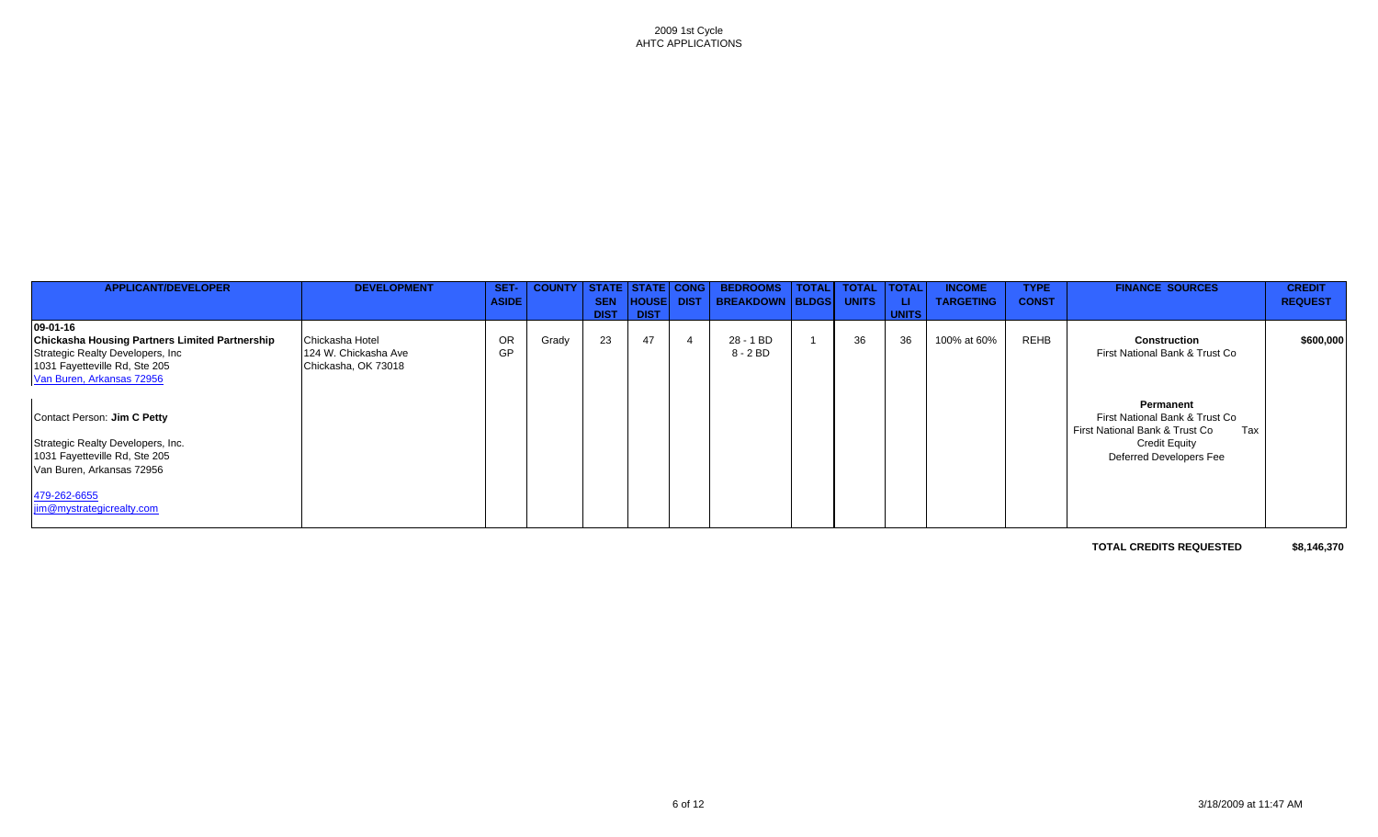| <b>APPLICANT/DEVELOPER</b>                                                                                                                                           | <b>DEVELOPMENT</b>                                             | SET-<br><b>ASIDE</b> | <b>COUNTY</b> | STATE  <br><b>SEN</b><br><b>DIST</b> | <b>STATE CONG</b><br><b>HOUSE</b><br><b>DIST</b> |                | <b>BEDROOMS</b><br>DIST   BREAKDOWN   BLDGS | <b>TOTAL</b> | <b>TOTAL</b><br><b>UNITS</b> | <b>TOTAL</b><br>ш<br><b>UNITS</b> | <b>INCOME</b><br><b>TARGETING</b> | <b>TYPE</b><br><b>CONST</b> | <b>FINANCE SOURCES</b>                                                                                                                  | <b>CREDIT</b><br><b>REQUEST</b> |
|----------------------------------------------------------------------------------------------------------------------------------------------------------------------|----------------------------------------------------------------|----------------------|---------------|--------------------------------------|--------------------------------------------------|----------------|---------------------------------------------|--------------|------------------------------|-----------------------------------|-----------------------------------|-----------------------------|-----------------------------------------------------------------------------------------------------------------------------------------|---------------------------------|
| 09-01-16<br><b>Chickasha Housing Partners Limited Partnership</b><br>Strategic Realty Developers, Inc.<br>1031 Fayetteville Rd, Ste 205<br>Van Buren, Arkansas 72956 | Chickasha Hotel<br>124 W. Chickasha Ave<br>Chickasha, OK 73018 | <b>OR</b><br>GP      | Grady         | 23                                   | 47                                               | $\overline{4}$ | 28 - 1 BD<br>8 - 2 BD                       |              | 36                           | 36                                | 100% at 60%                       | REHB                        | <b>Construction</b><br>First National Bank & Trust Co                                                                                   | \$600,000                       |
| Contact Person: Jim C Petty<br>Strategic Realty Developers, Inc.<br>1031 Fayetteville Rd, Ste 205<br>Van Buren, Arkansas 72956                                       |                                                                |                      |               |                                      |                                                  |                |                                             |              |                              |                                   |                                   |                             | Permanent<br>First National Bank & Trust Co<br>First National Bank & Trust Co<br>Tax<br><b>Credit Equity</b><br>Deferred Developers Fee |                                 |
| 479-262-6655<br>jim@mystrategicrealty.com                                                                                                                            |                                                                |                      |               |                                      |                                                  |                |                                             |              |                              |                                   |                                   |                             |                                                                                                                                         |                                 |

**TOTAL CREDITS REQUESTED \$8,146,370**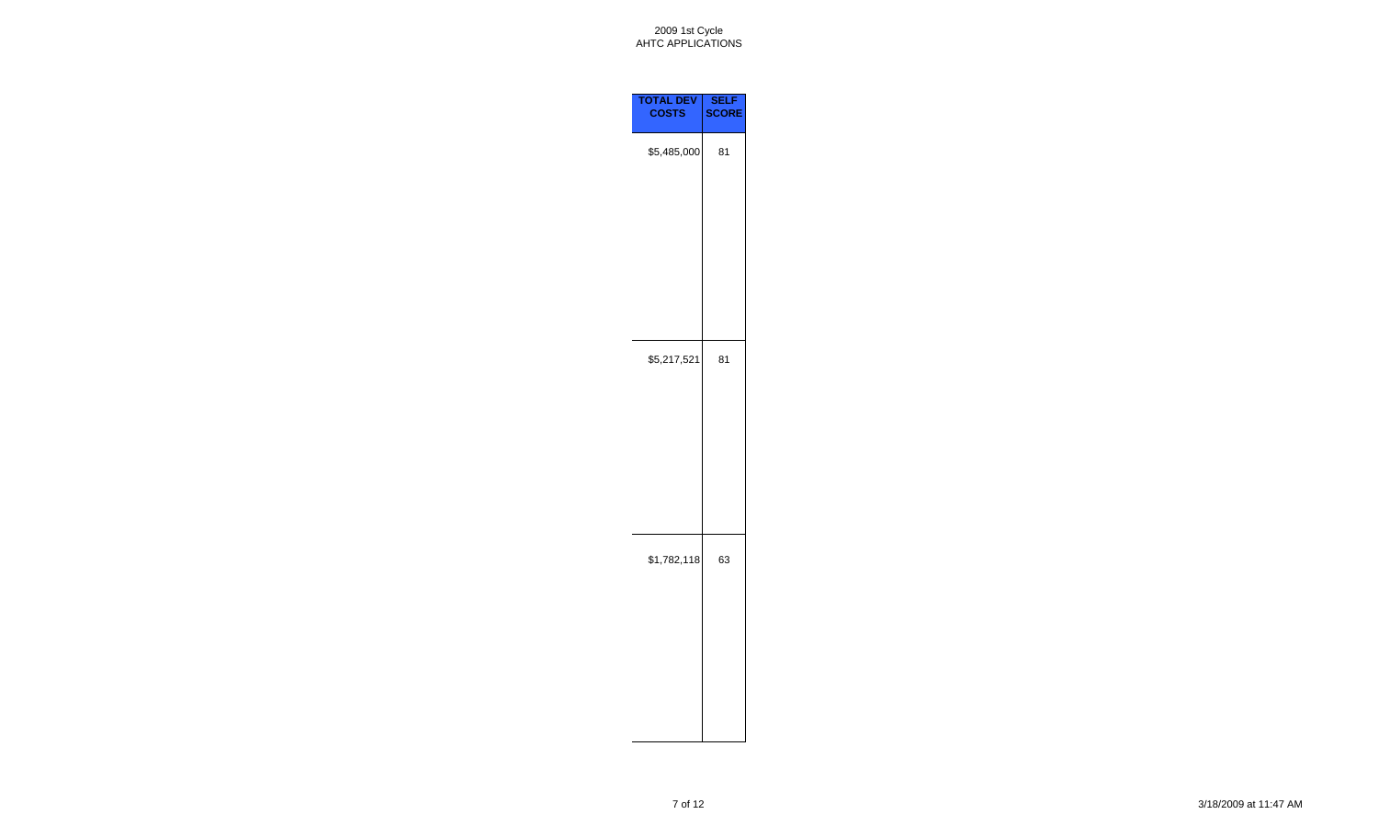

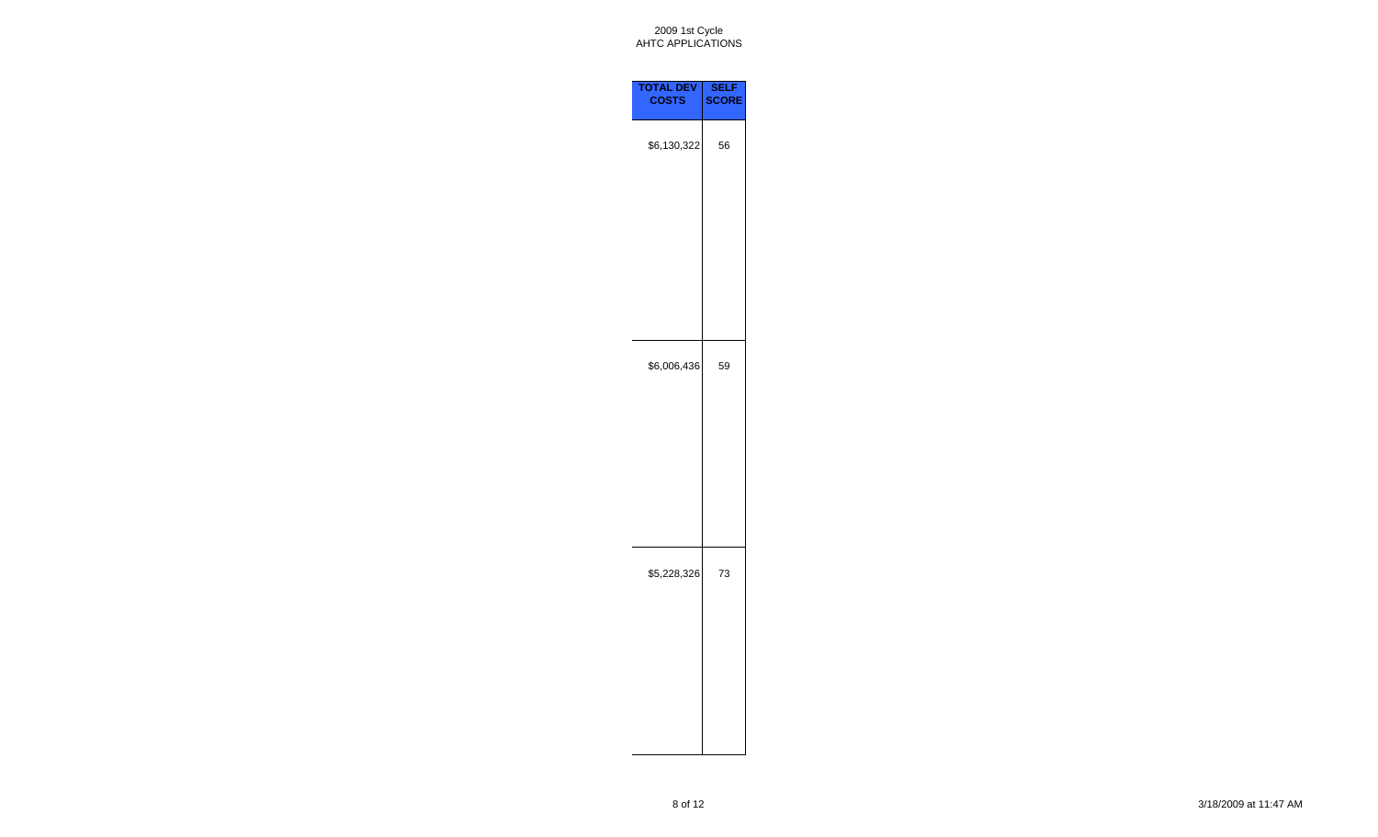

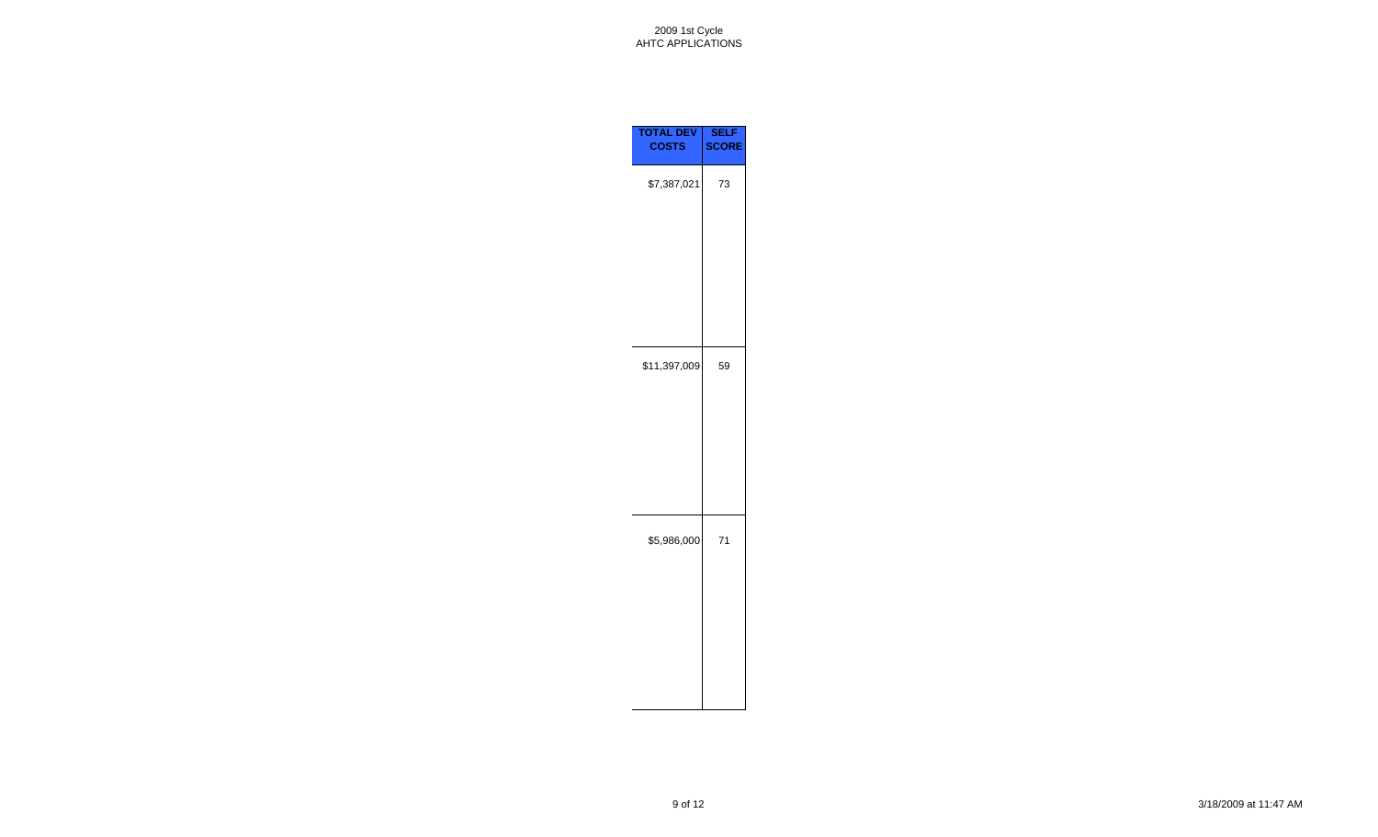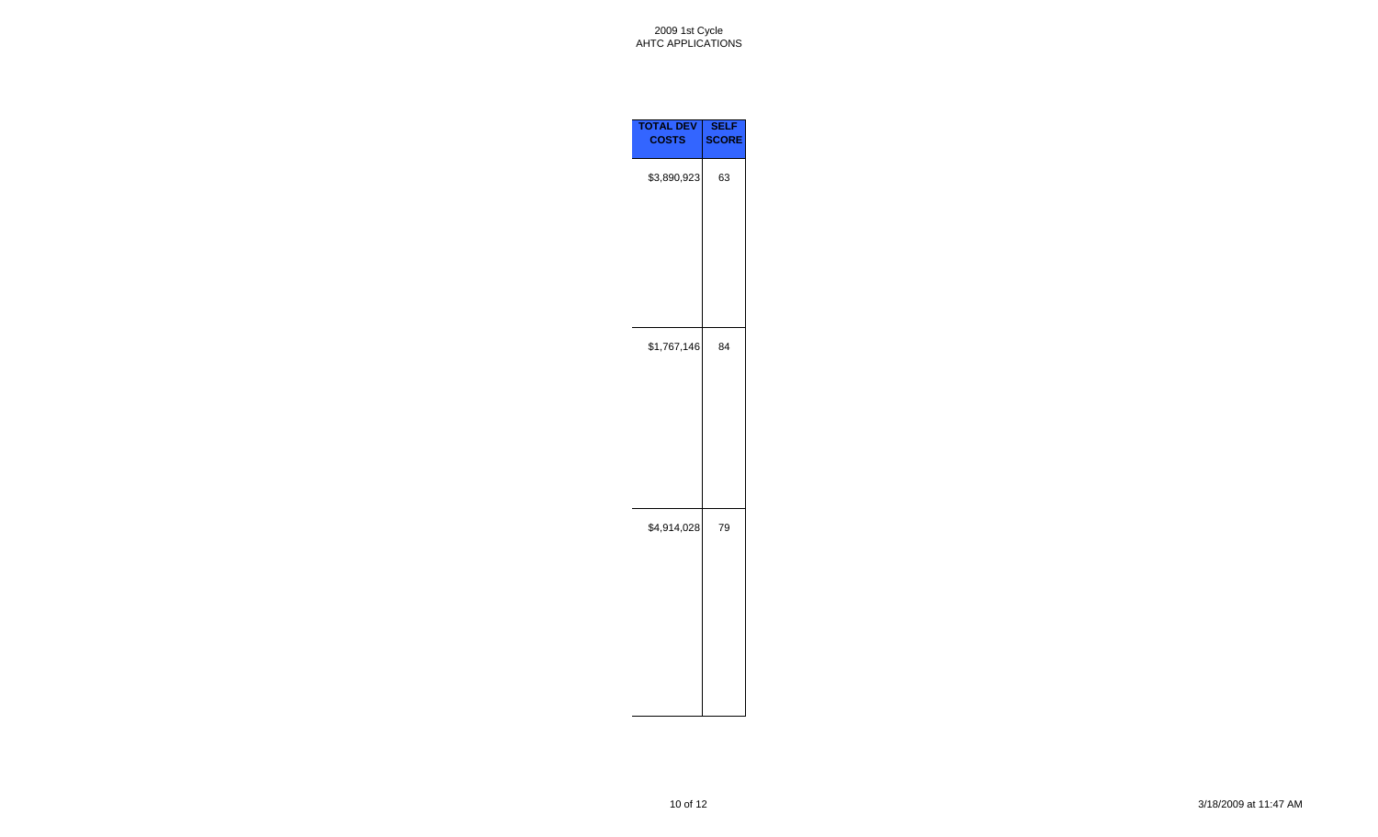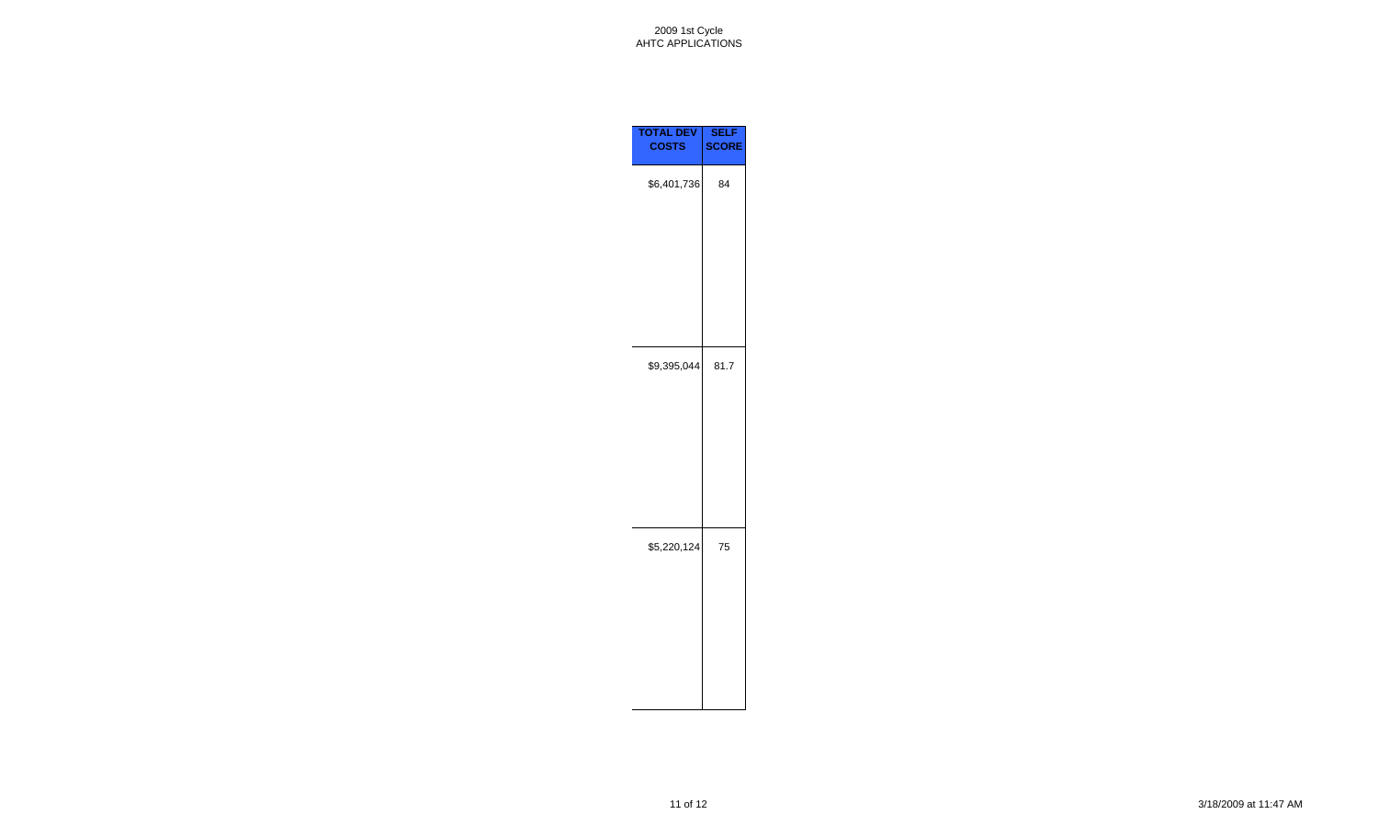